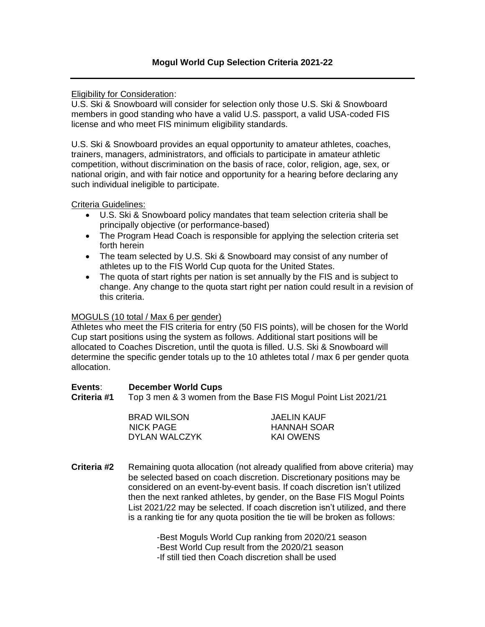Eligibility for Consideration:

U.S. Ski & Snowboard will consider for selection only those U.S. Ski & Snowboard members in good standing who have a valid U.S. passport, a valid USA-coded FIS license and who meet FIS minimum eligibility standards.

U.S. Ski & Snowboard provides an equal opportunity to amateur athletes, coaches, trainers, managers, administrators, and officials to participate in amateur athletic competition, without discrimination on the basis of race, color, religion, age, sex, or national origin, and with fair notice and opportunity for a hearing before declaring any such individual ineligible to participate.

Criteria Guidelines:

- U.S. Ski & Snowboard policy mandates that team selection criteria shall be principally objective (or performance-based)
- The Program Head Coach is responsible for applying the selection criteria set forth herein
- The team selected by U.S. Ski & Snowboard may consist of any number of athletes up to the FIS World Cup quota for the United States.
- The quota of start rights per nation is set annually by the FIS and is subject to change. Any change to the quota start right per nation could result in a revision of this criteria.

## MOGULS (10 total / Max 6 per gender)

Athletes who meet the FIS criteria for entry (50 FIS points), will be chosen for the World Cup start positions using the system as follows. Additional start positions will be allocated to Coaches Discretion, until the quota is filled. U.S. Ski & Snowboard will determine the specific gender totals up to the 10 athletes total / max 6 per gender quota allocation.

#### **Events**: **December World Cups**

**Criteria #1** Top 3 men & 3 women from the Base FIS Mogul Point List 2021/21

BRAD WILSON JAELIN KAUF NICK PAGE HANNAH SOAR DYLAN WALCZYK KAI OWENS

**Criteria #2** Remaining quota allocation (not already qualified from above criteria) may be selected based on coach discretion. Discretionary positions may be considered on an event-by-event basis. If coach discretion isn't utilized then the next ranked athletes, by gender, on the Base FIS Mogul Points List 2021/22 may be selected. If coach discretion isn't utilized, and there is a ranking tie for any quota position the tie will be broken as follows:

> -Best Moguls World Cup ranking from 2020/21 season -Best World Cup result from the 2020/21 season -If still tied then Coach discretion shall be used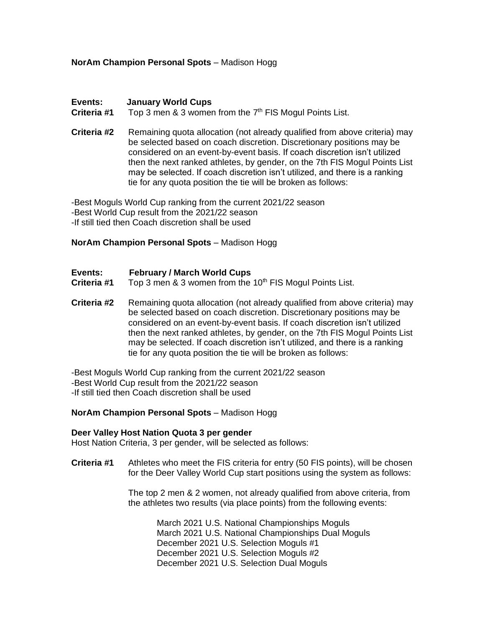### **NorAm Champion Personal Spots** – Madison Hogg

#### **Events: January World Cups**

Criteria #1 Top 3 men & 3 women from the 7<sup>th</sup> FIS Mogul Points List.

**Criteria #2** Remaining quota allocation (not already qualified from above criteria) may be selected based on coach discretion. Discretionary positions may be considered on an event-by-event basis. If coach discretion isn't utilized then the next ranked athletes, by gender, on the 7th FIS Mogul Points List may be selected. If coach discretion isn't utilized, and there is a ranking tie for any quota position the tie will be broken as follows:

-Best Moguls World Cup ranking from the current 2021/22 season -Best World Cup result from the 2021/22 season -If still tied then Coach discretion shall be used

#### **NorAm Champion Personal Spots** – Madison Hogg

- **Events: February / March World Cups**
- **Criteria #1** Top 3 men & 3 women from the 10<sup>th</sup> FIS Mogul Points List.
- **Criteria #2** Remaining quota allocation (not already qualified from above criteria) may be selected based on coach discretion. Discretionary positions may be considered on an event-by-event basis. If coach discretion isn't utilized then the next ranked athletes, by gender, on the 7th FIS Mogul Points List may be selected. If coach discretion isn't utilized, and there is a ranking tie for any quota position the tie will be broken as follows:
- -Best Moguls World Cup ranking from the current 2021/22 season
- -Best World Cup result from the 2021/22 season

-If still tied then Coach discretion shall be used

#### **NorAm Champion Personal Spots** – Madison Hogg

#### **Deer Valley Host Nation Quota 3 per gender**

Host Nation Criteria, 3 per gender, will be selected as follows:

**Criteria #1** Athletes who meet the FIS criteria for entry (50 FIS points), will be chosen for the Deer Valley World Cup start positions using the system as follows:

> The top 2 men & 2 women, not already qualified from above criteria, from the athletes two results (via place points) from the following events:

March 2021 U.S. National Championships Moguls March 2021 U.S. National Championships Dual Moguls December 2021 U.S. Selection Moguls #1 December 2021 U.S. Selection Moguls #2 December 2021 U.S. Selection Dual Moguls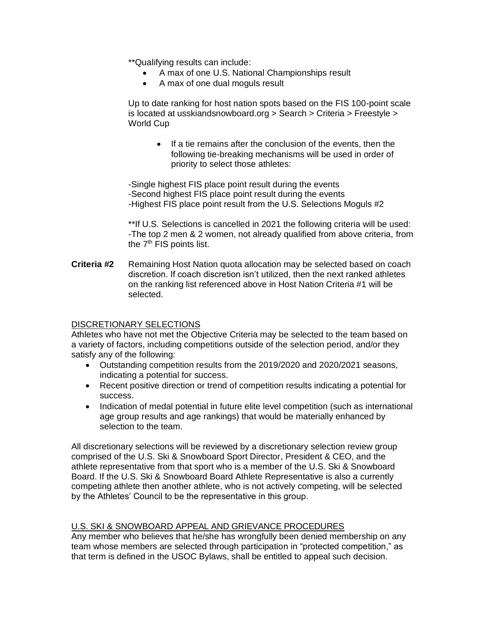\*\*Qualifying results can include:

- A max of one U.S. National Championships result
- A max of one dual moguls result

Up to date ranking for host nation spots based on the FIS 100-point scale is located at usskiandsnowboard.org > Search > Criteria > Freestyle > World Cup

• If a tie remains after the conclusion of the events, then the following tie-breaking mechanisms will be used in order of priority to select those athletes:

-Single highest FIS place point result during the events -Second highest FIS place point result during the events -Highest FIS place point result from the U.S. Selections Moguls #2

\*\*If U.S. Selections is cancelled in 2021 the following criteria will be used: -The top 2 men & 2 women, not already qualified from above criteria, from the 7<sup>th</sup> FIS points list.

**Criteria #2** Remaining Host Nation quota allocation may be selected based on coach discretion. If coach discretion isn't utilized, then the next ranked athletes on the ranking list referenced above in Host Nation Criteria #1 will be selected.

## DISCRETIONARY SELECTIONS

Athletes who have not met the Objective Criteria may be selected to the team based on a variety of factors, including competitions outside of the selection period, and/or they satisfy any of the following:

- Outstanding competition results from the 2019/2020 and 2020/2021 seasons, indicating a potential for success.
- Recent positive direction or trend of competition results indicating a potential for success.
- Indication of medal potential in future elite level competition (such as international age group results and age rankings) that would be materially enhanced by selection to the team.

All discretionary selections will be reviewed by a discretionary selection review group comprised of the U.S. Ski & Snowboard Sport Director, President & CEO, and the athlete representative from that sport who is a member of the U.S. Ski & Snowboard Board. If the U.S. Ski & Snowboard Board Athlete Representative is also a currently competing athlete then another athlete, who is not actively competing, will be selected by the Athletes' Council to be the representative in this group.

## U.S. SKI & SNOWBOARD APPEAL AND GRIEVANCE PROCEDURES

Any member who believes that he/she has wrongfully been denied membership on any team whose members are selected through participation in "protected competition," as that term is defined in the USOC Bylaws, shall be entitled to appeal such decision.